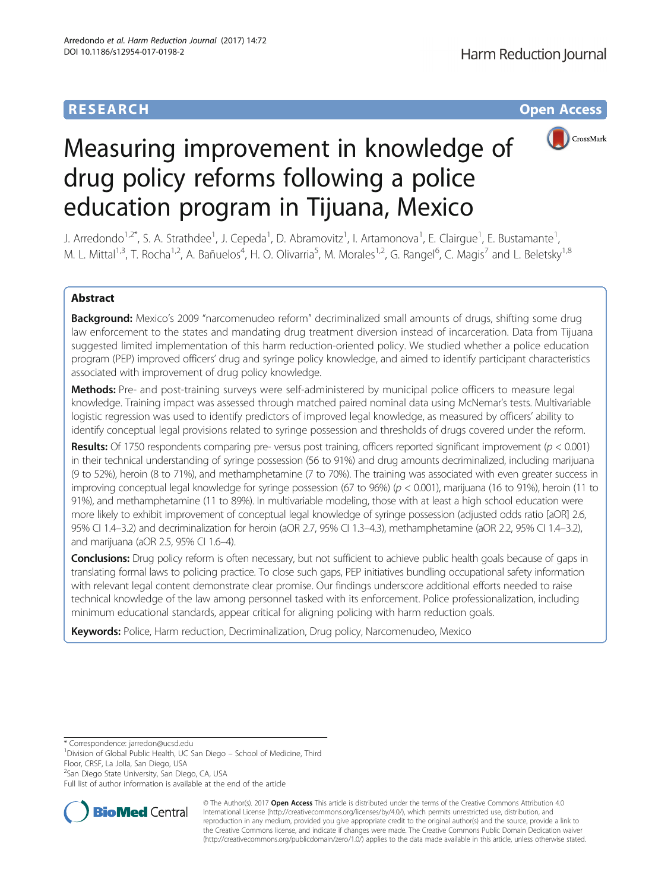# **RESEARCH CHE Open Access**



# Measuring improvement in knowledge of drug policy reforms following a police education program in Tijuana, Mexico

J. Arredondo<sup>1,2\*</sup>, S. A. Strathdee<sup>1</sup>, J. Cepeda<sup>1</sup>, D. Abramovitz<sup>1</sup>, I. Artamonova<sup>1</sup>, E. Clairgue<sup>1</sup>, E. Bustamante<sup>1</sup> , M. L. Mittal<sup>1,3</sup>, T. Rocha<sup>1,2</sup>, A. Bañuelos<sup>4</sup>, H. O. Olivarria<sup>5</sup>, M. Morales<sup>1,2</sup>, G. Rangel<sup>6</sup>, C. Magis<sup>7</sup> and L. Beletsky<sup>1,8</sup>

# Abstract

Background: Mexico's 2009 "narcomenudeo reform" decriminalized small amounts of drugs, shifting some drug law enforcement to the states and mandating drug treatment diversion instead of incarceration. Data from Tijuana suggested limited implementation of this harm reduction-oriented policy. We studied whether a police education program (PEP) improved officers' drug and syringe policy knowledge, and aimed to identify participant characteristics associated with improvement of drug policy knowledge.

Methods: Pre- and post-training surveys were self-administered by municipal police officers to measure legal knowledge. Training impact was assessed through matched paired nominal data using McNemar's tests. Multivariable logistic regression was used to identify predictors of improved legal knowledge, as measured by officers' ability to identify conceptual legal provisions related to syringe possession and thresholds of drugs covered under the reform.

Results: Of 1750 respondents comparing pre- versus post training, officers reported significant improvement ( $p < 0.001$ ) in their technical understanding of syringe possession (56 to 91%) and drug amounts decriminalized, including marijuana (9 to 52%), heroin (8 to 71%), and methamphetamine (7 to 70%). The training was associated with even greater success in improving conceptual legal knowledge for syringe possession (67 to 96%) (p < 0.001), marijuana (16 to 91%), heroin (11 to 91%), and methamphetamine (11 to 89%). In multivariable modeling, those with at least a high school education were more likely to exhibit improvement of conceptual legal knowledge of syringe possession (adjusted odds ratio [aOR] 2.6, 95% CI 1.4–3.2) and decriminalization for heroin (aOR 2.7, 95% CI 1.3–4.3), methamphetamine (aOR 2.2, 95% CI 1.4–3.2), and marijuana (aOR 2.5, 95% CI 1.6–4).

Conclusions: Drug policy reform is often necessary, but not sufficient to achieve public health goals because of gaps in translating formal laws to policing practice. To close such gaps, PEP initiatives bundling occupational safety information with relevant legal content demonstrate clear promise. Our findings underscore additional efforts needed to raise technical knowledge of the law among personnel tasked with its enforcement. Police professionalization, including minimum educational standards, appear critical for aligning policing with harm reduction goals.

Keywords: Police, Harm reduction, Decriminalization, Drug policy, Narcomenudeo, Mexico

\* Correspondence: [jarredon@ucsd.edu](mailto:jarredon@ucsd.edu) <sup>1</sup>

2 San Diego State University, San Diego, CA, USA

Full list of author information is available at the end of the article



© The Author(s). 2017 **Open Access** This article is distributed under the terms of the Creative Commons Attribution 4.0 International License [\(http://creativecommons.org/licenses/by/4.0/](http://creativecommons.org/licenses/by/4.0/)), which permits unrestricted use, distribution, and reproduction in any medium, provided you give appropriate credit to the original author(s) and the source, provide a link to the Creative Commons license, and indicate if changes were made. The Creative Commons Public Domain Dedication waiver [\(http://creativecommons.org/publicdomain/zero/1.0/](http://creativecommons.org/publicdomain/zero/1.0/)) applies to the data made available in this article, unless otherwise stated.

<sup>&</sup>lt;sup>1</sup> Division of Global Public Health, UC San Diego - School of Medicine, Third Floor, CRSF, La Jolla, San Diego, USA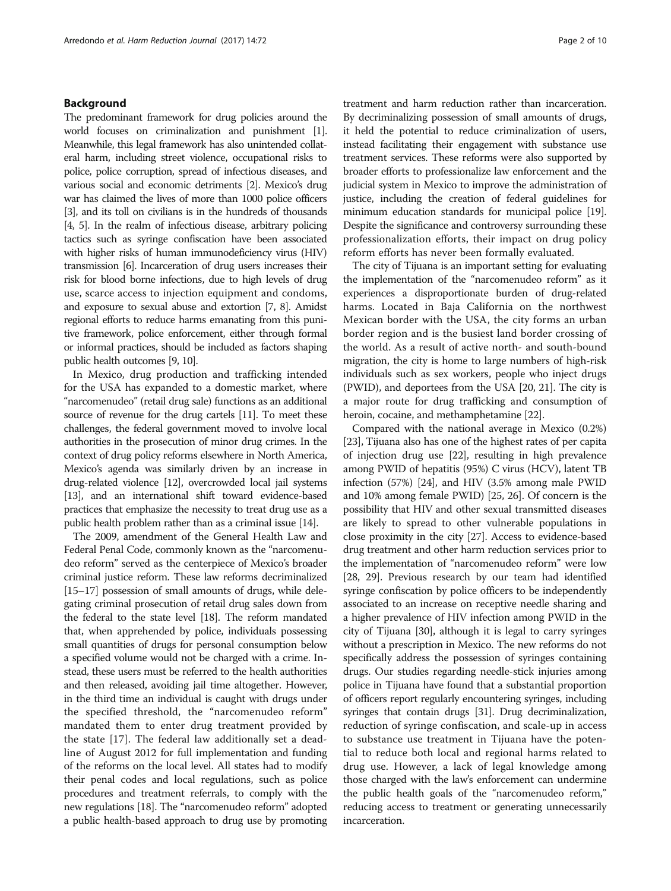#### Background

The predominant framework for drug policies around the world focuses on criminalization and punishment [\[1\]](#page-7-0). Meanwhile, this legal framework has also unintended collateral harm, including street violence, occupational risks to police, police corruption, spread of infectious diseases, and various social and economic detriments [[2](#page-7-0)]. Mexico's drug war has claimed the lives of more than 1000 police officers [[3](#page-8-0)], and its toll on civilians is in the hundreds of thousands [[4](#page-8-0), [5\]](#page-8-0). In the realm of infectious disease, arbitrary policing tactics such as syringe confiscation have been associated with higher risks of human immunodeficiency virus (HIV) transmission [\[6\]](#page-8-0). Incarceration of drug users increases their risk for blood borne infections, due to high levels of drug use, scarce access to injection equipment and condoms, and exposure to sexual abuse and extortion [\[7, 8](#page-8-0)]. Amidst regional efforts to reduce harms emanating from this punitive framework, police enforcement, either through formal or informal practices, should be included as factors shaping public health outcomes [\[9](#page-8-0), [10\]](#page-8-0).

In Mexico, drug production and trafficking intended for the USA has expanded to a domestic market, where "narcomenudeo" (retail drug sale) functions as an additional source of revenue for the drug cartels [[11](#page-8-0)]. To meet these challenges, the federal government moved to involve local authorities in the prosecution of minor drug crimes. In the context of drug policy reforms elsewhere in North America, Mexico's agenda was similarly driven by an increase in drug-related violence [\[12\]](#page-8-0), overcrowded local jail systems [[13](#page-8-0)], and an international shift toward evidence-based practices that emphasize the necessity to treat drug use as a public health problem rather than as a criminal issue [\[14\]](#page-8-0).

The 2009, amendment of the General Health Law and Federal Penal Code, commonly known as the "narcomenudeo reform" served as the centerpiece of Mexico's broader criminal justice reform. These law reforms decriminalized [[15](#page-8-0)–[17\]](#page-8-0) possession of small amounts of drugs, while delegating criminal prosecution of retail drug sales down from the federal to the state level [[18](#page-8-0)]. The reform mandated that, when apprehended by police, individuals possessing small quantities of drugs for personal consumption below a specified volume would not be charged with a crime. Instead, these users must be referred to the health authorities and then released, avoiding jail time altogether. However, in the third time an individual is caught with drugs under the specified threshold, the "narcomenudeo reform" mandated them to enter drug treatment provided by the state [\[17](#page-8-0)]. The federal law additionally set a deadline of August 2012 for full implementation and funding of the reforms on the local level. All states had to modify their penal codes and local regulations, such as police procedures and treatment referrals, to comply with the new regulations [[18](#page-8-0)]. The "narcomenudeo reform" adopted a public health-based approach to drug use by promoting treatment and harm reduction rather than incarceration. By decriminalizing possession of small amounts of drugs, it held the potential to reduce criminalization of users, instead facilitating their engagement with substance use treatment services. These reforms were also supported by broader efforts to professionalize law enforcement and the judicial system in Mexico to improve the administration of justice, including the creation of federal guidelines for minimum education standards for municipal police [[19](#page-8-0)]. Despite the significance and controversy surrounding these professionalization efforts, their impact on drug policy reform efforts has never been formally evaluated.

The city of Tijuana is an important setting for evaluating the implementation of the "narcomenudeo reform" as it experiences a disproportionate burden of drug-related harms. Located in Baja California on the northwest Mexican border with the USA, the city forms an urban border region and is the busiest land border crossing of the world. As a result of active north- and south-bound migration, the city is home to large numbers of high-risk individuals such as sex workers, people who inject drugs (PWID), and deportees from the USA [[20](#page-8-0), [21](#page-8-0)]. The city is a major route for drug trafficking and consumption of heroin, cocaine, and methamphetamine [[22](#page-8-0)].

Compared with the national average in Mexico (0.2%) [[23](#page-8-0)], Tijuana also has one of the highest rates of per capita of injection drug use [[22](#page-8-0)], resulting in high prevalence among PWID of hepatitis (95%) C virus (HCV), latent TB infection (57%) [[24](#page-8-0)], and HIV (3.5% among male PWID and 10% among female PWID) [\[25, 26](#page-8-0)]. Of concern is the possibility that HIV and other sexual transmitted diseases are likely to spread to other vulnerable populations in close proximity in the city [[27](#page-8-0)]. Access to evidence-based drug treatment and other harm reduction services prior to the implementation of "narcomenudeo reform" were low [[28](#page-8-0), [29](#page-8-0)]. Previous research by our team had identified syringe confiscation by police officers to be independently associated to an increase on receptive needle sharing and a higher prevalence of HIV infection among PWID in the city of Tijuana [[30](#page-8-0)], although it is legal to carry syringes without a prescription in Mexico. The new reforms do not specifically address the possession of syringes containing drugs. Our studies regarding needle-stick injuries among police in Tijuana have found that a substantial proportion of officers report regularly encountering syringes, including syringes that contain drugs [\[31\]](#page-8-0). Drug decriminalization, reduction of syringe confiscation, and scale-up in access to substance use treatment in Tijuana have the potential to reduce both local and regional harms related to drug use. However, a lack of legal knowledge among those charged with the law's enforcement can undermine the public health goals of the "narcomenudeo reform," reducing access to treatment or generating unnecessarily incarceration.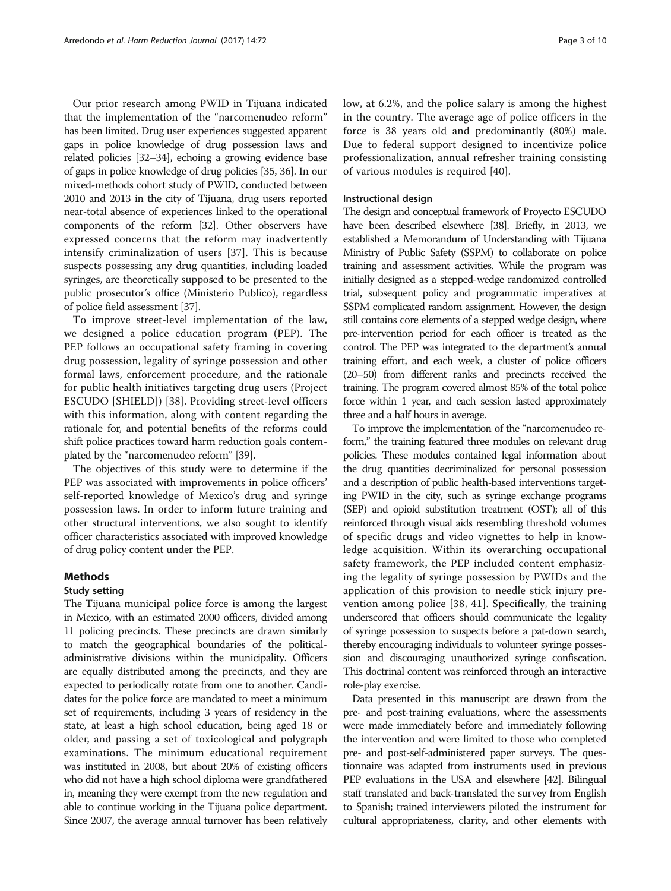Our prior research among PWID in Tijuana indicated that the implementation of the "narcomenudeo reform" has been limited. Drug user experiences suggested apparent gaps in police knowledge of drug possession laws and related policies [\[32](#page-8-0)–[34\]](#page-8-0), echoing a growing evidence base of gaps in police knowledge of drug policies [\[35, 36\]](#page-8-0). In our mixed-methods cohort study of PWID, conducted between 2010 and 2013 in the city of Tijuana, drug users reported near-total absence of experiences linked to the operational components of the reform [\[32\]](#page-8-0). Other observers have expressed concerns that the reform may inadvertently intensify criminalization of users [[37\]](#page-8-0). This is because suspects possessing any drug quantities, including loaded syringes, are theoretically supposed to be presented to the public prosecutor's office (Ministerio Publico), regardless of police field assessment [\[37\]](#page-8-0).

To improve street-level implementation of the law, we designed a police education program (PEP). The PEP follows an occupational safety framing in covering drug possession, legality of syringe possession and other formal laws, enforcement procedure, and the rationale for public health initiatives targeting drug users (Project ESCUDO [SHIELD]) [\[38](#page-8-0)]. Providing street-level officers with this information, along with content regarding the rationale for, and potential benefits of the reforms could shift police practices toward harm reduction goals contemplated by the "narcomenudeo reform" [\[39\]](#page-8-0).

The objectives of this study were to determine if the PEP was associated with improvements in police officers' self-reported knowledge of Mexico's drug and syringe possession laws. In order to inform future training and other structural interventions, we also sought to identify officer characteristics associated with improved knowledge of drug policy content under the PEP.

# **Methods**

#### Study setting

The Tijuana municipal police force is among the largest in Mexico, with an estimated 2000 officers, divided among 11 policing precincts. These precincts are drawn similarly to match the geographical boundaries of the politicaladministrative divisions within the municipality. Officers are equally distributed among the precincts, and they are expected to periodically rotate from one to another. Candidates for the police force are mandated to meet a minimum set of requirements, including 3 years of residency in the state, at least a high school education, being aged 18 or older, and passing a set of toxicological and polygraph examinations. The minimum educational requirement was instituted in 2008, but about 20% of existing officers who did not have a high school diploma were grandfathered in, meaning they were exempt from the new regulation and able to continue working in the Tijuana police department. Since 2007, the average annual turnover has been relatively low, at 6.2%, and the police salary is among the highest in the country. The average age of police officers in the force is 38 years old and predominantly (80%) male. Due to federal support designed to incentivize police professionalization, annual refresher training consisting of various modules is required [[40](#page-8-0)].

#### Instructional design

The design and conceptual framework of Proyecto ESCUDO have been described elsewhere [\[38](#page-8-0)]. Briefly, in 2013, we established a Memorandum of Understanding with Tijuana Ministry of Public Safety (SSPM) to collaborate on police training and assessment activities. While the program was initially designed as a stepped-wedge randomized controlled trial, subsequent policy and programmatic imperatives at SSPM complicated random assignment. However, the design still contains core elements of a stepped wedge design, where pre-intervention period for each officer is treated as the control. The PEP was integrated to the department's annual training effort, and each week, a cluster of police officers (20–50) from different ranks and precincts received the training. The program covered almost 85% of the total police force within 1 year, and each session lasted approximately three and a half hours in average.

To improve the implementation of the "narcomenudeo reform," the training featured three modules on relevant drug policies. These modules contained legal information about the drug quantities decriminalized for personal possession and a description of public health-based interventions targeting PWID in the city, such as syringe exchange programs (SEP) and opioid substitution treatment (OST); all of this reinforced through visual aids resembling threshold volumes of specific drugs and video vignettes to help in knowledge acquisition. Within its overarching occupational safety framework, the PEP included content emphasizing the legality of syringe possession by PWIDs and the application of this provision to needle stick injury prevention among police [[38, 41](#page-8-0)]. Specifically, the training underscored that officers should communicate the legality of syringe possession to suspects before a pat-down search, thereby encouraging individuals to volunteer syringe possession and discouraging unauthorized syringe confiscation. This doctrinal content was reinforced through an interactive role-play exercise.

Data presented in this manuscript are drawn from the pre- and post-training evaluations, where the assessments were made immediately before and immediately following the intervention and were limited to those who completed pre- and post-self-administered paper surveys. The questionnaire was adapted from instruments used in previous PEP evaluations in the USA and elsewhere [\[42](#page-8-0)]. Bilingual staff translated and back-translated the survey from English to Spanish; trained interviewers piloted the instrument for cultural appropriateness, clarity, and other elements with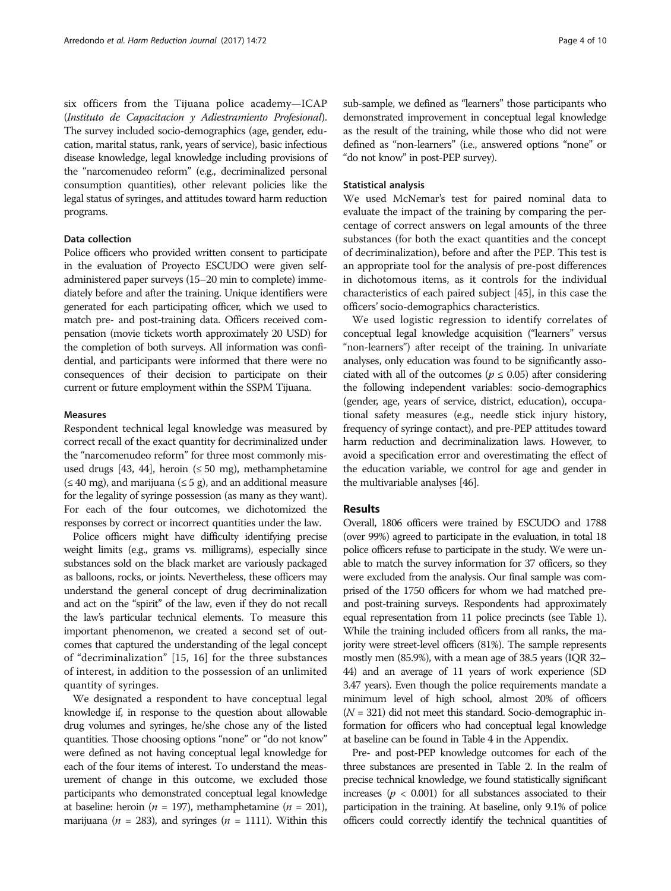six officers from the Tijuana police academy—ICAP (Instituto de Capacitacion y Adiestramiento Profesional). The survey included socio-demographics (age, gender, education, marital status, rank, years of service), basic infectious disease knowledge, legal knowledge including provisions of the "narcomenudeo reform" (e.g., decriminalized personal consumption quantities), other relevant policies like the legal status of syringes, and attitudes toward harm reduction programs.

#### Data collection

Police officers who provided written consent to participate in the evaluation of Proyecto ESCUDO were given selfadministered paper surveys (15–20 min to complete) immediately before and after the training. Unique identifiers were generated for each participating officer, which we used to match pre- and post-training data. Officers received compensation (movie tickets worth approximately 20 USD) for the completion of both surveys. All information was confidential, and participants were informed that there were no consequences of their decision to participate on their current or future employment within the SSPM Tijuana.

#### Measures

Respondent technical legal knowledge was measured by correct recall of the exact quantity for decriminalized under the "narcomenudeo reform" for three most commonly mis-used drugs [[43](#page-8-0), [44\]](#page-8-0), heroin ( $\leq$  50 mg), methamphetamine  $(\leq 40 \text{ mg})$ , and marijuana  $(\leq 5 \text{ g})$ , and an additional measure for the legality of syringe possession (as many as they want). For each of the four outcomes, we dichotomized the responses by correct or incorrect quantities under the law.

Police officers might have difficulty identifying precise weight limits (e.g., grams vs. milligrams), especially since substances sold on the black market are variously packaged as balloons, rocks, or joints. Nevertheless, these officers may understand the general concept of drug decriminalization and act on the "spirit" of the law, even if they do not recall the law's particular technical elements. To measure this important phenomenon, we created a second set of outcomes that captured the understanding of the legal concept of "decriminalization" [[15](#page-8-0), [16](#page-8-0)] for the three substances of interest, in addition to the possession of an unlimited quantity of syringes.

We designated a respondent to have conceptual legal knowledge if, in response to the question about allowable drug volumes and syringes, he/she chose any of the listed quantities. Those choosing options "none" or "do not know" were defined as not having conceptual legal knowledge for each of the four items of interest. To understand the measurement of change in this outcome, we excluded those participants who demonstrated conceptual legal knowledge at baseline: heroin (*n* = 197), methamphetamine (*n* = 201), marijuana (*n* = 283), and syringes (*n* = 1111). Within this sub-sample, we defined as "learners" those participants who demonstrated improvement in conceptual legal knowledge as the result of the training, while those who did not were defined as "non-learners" (i.e., answered options "none" or "do not know" in post-PEP survey).

#### Statistical analysis

We used McNemar's test for paired nominal data to evaluate the impact of the training by comparing the percentage of correct answers on legal amounts of the three substances (for both the exact quantities and the concept of decriminalization), before and after the PEP. This test is an appropriate tool for the analysis of pre-post differences in dichotomous items, as it controls for the individual characteristics of each paired subject [\[45](#page-8-0)], in this case the officers' socio-demographics characteristics.

We used logistic regression to identify correlates of conceptual legal knowledge acquisition ("learners" versus "non-learners") after receipt of the training. In univariate analyses, only education was found to be significantly associated with all of the outcomes ( $p \le 0.05$ ) after considering the following independent variables: socio-demographics (gender, age, years of service, district, education), occupational safety measures (e.g., needle stick injury history, frequency of syringe contact), and pre-PEP attitudes toward harm reduction and decriminalization laws. However, to avoid a specification error and overestimating the effect of the education variable, we control for age and gender in the multivariable analyses [[46](#page-8-0)].

# Results

Overall, 1806 officers were trained by ESCUDO and 1788 (over 99%) agreed to participate in the evaluation, in total 18 police officers refuse to participate in the study. We were unable to match the survey information for 37 officers, so they were excluded from the analysis. Our final sample was comprised of the 1750 officers for whom we had matched preand post-training surveys. Respondents had approximately equal representation from 11 police precincts (see Table [1\)](#page-4-0). While the training included officers from all ranks, the majority were street-level officers (81%). The sample represents mostly men (85.9%), with a mean age of 38.5 years (IQR 32– 44) and an average of 11 years of work experience (SD 3.47 years). Even though the police requirements mandate a minimum level of high school, almost 20% of officers  $(N = 321)$  did not meet this standard. Socio-demographic information for officers who had conceptual legal knowledge at baseline can be found in Table 4 in the [Appendix](#page-7-0).

Pre- and post-PEP knowledge outcomes for each of the three substances are presented in Table [2.](#page-4-0) In the realm of precise technical knowledge, we found statistically significant increases ( $p < 0.001$ ) for all substances associated to their participation in the training. At baseline, only 9.1% of police officers could correctly identify the technical quantities of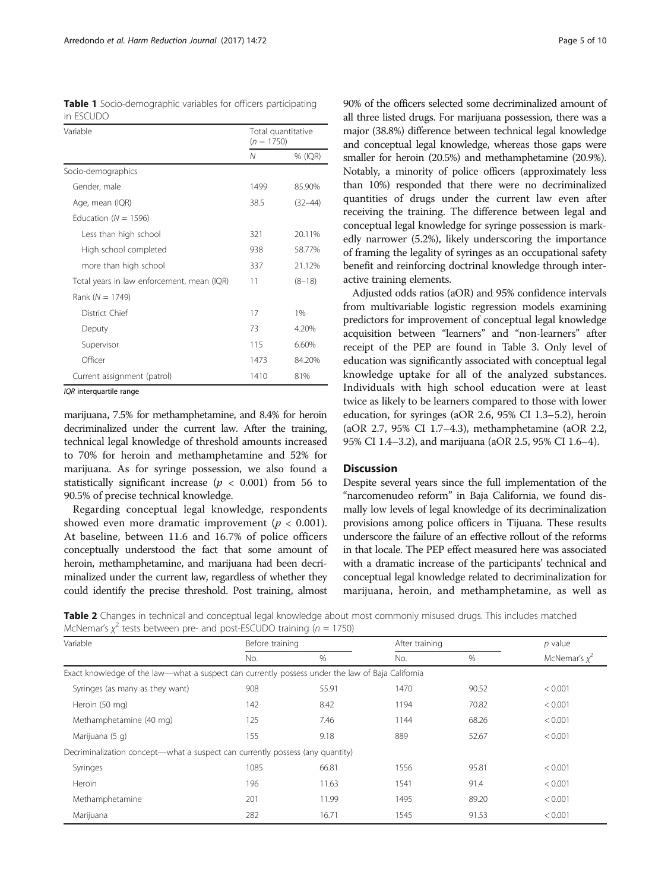<span id="page-4-0"></span>

|           | <b>Table 1</b> Socio-demographic variables for officers participating |  |  |
|-----------|-----------------------------------------------------------------------|--|--|
| in ESCUDO |                                                                       |  |  |

| Variable                                   | $(n = 1750)$ | Total quantitative |
|--------------------------------------------|--------------|--------------------|
|                                            | Ν            | % (IQR)            |
| Socio-demographics                         |              |                    |
| Gender, male                               | 1499         | 85.90%             |
| Age, mean (IQR)                            | 38.5         | $(32 - 44)$        |
| Education ( $N = 1596$ )                   |              |                    |
| Less than high school                      | 321          | 20.11%             |
| High school completed                      | 938          | 58.77%             |
| more than high school                      | 337          | 21.12%             |
| Total years in law enforcement, mean (IQR) | 11           | $(8-18)$           |
| Rank ( $N = 1749$ )                        |              |                    |
| District Chief                             | 17           | 1%                 |
| Deputy                                     | 73           | 4.20%              |
| Supervisor                                 | 115          | 6.60%              |
| Officer                                    | 1473         | 84.20%             |
| Current assignment (patrol)                | 1410         | 81%                |

IQR interquartile range

marijuana, 7.5% for methamphetamine, and 8.4% for heroin decriminalized under the current law. After the training, technical legal knowledge of threshold amounts increased to 70% for heroin and methamphetamine and 52% for marijuana. As for syringe possession, we also found a statistically significant increase ( $p < 0.001$ ) from 56 to 90.5% of precise technical knowledge.

Regarding conceptual legal knowledge, respondents showed even more dramatic improvement ( $p < 0.001$ ). At baseline, between 11.6 and 16.7% of police officers conceptually understood the fact that some amount of heroin, methamphetamine, and marijuana had been decriminalized under the current law, regardless of whether they could identify the precise threshold. Post training, almost

90% of the officers selected some decriminalized amount of all three listed drugs. For marijuana possession, there was a major (38.8%) difference between technical legal knowledge and conceptual legal knowledge, whereas those gaps were smaller for heroin (20.5%) and methamphetamine (20.9%). Notably, a minority of police officers (approximately less than 10%) responded that there were no decriminalized quantities of drugs under the current law even after receiving the training. The difference between legal and conceptual legal knowledge for syringe possession is markedly narrower (5.2%), likely underscoring the importance of framing the legality of syringes as an occupational safety benefit and reinforcing doctrinal knowledge through interactive training elements.

Adjusted odds ratios (aOR) and 95% confidence intervals from multivariable logistic regression models examining predictors for improvement of conceptual legal knowledge acquisition between "learners" and "non-learners" after receipt of the PEP are found in Table [3.](#page-5-0) Only level of education was significantly associated with conceptual legal knowledge uptake for all of the analyzed substances. Individuals with high school education were at least twice as likely to be learners compared to those with lower education, for syringes (aOR 2.6, 95% CI 1.3–5.2), heroin (aOR 2.7, 95% CI 1.7–4.3), methamphetamine (aOR 2.2, 95% CI 1.4–3.2), and marijuana (aOR 2.5, 95% CI 1.6–4).

#### **Discussion**

Despite several years since the full implementation of the "narcomenudeo reform" in Baja California, we found dismally low levels of legal knowledge of its decriminalization provisions among police officers in Tijuana. These results underscore the failure of an effective rollout of the reforms in that locale. The PEP effect measured here was associated with a dramatic increase of the participants' technical and conceptual legal knowledge related to decriminalization for marijuana, heroin, and methamphetamine, as well as

Table 2 Changes in technical and conceptual legal knowledge about most commonly misused drugs. This includes matched McNemar's  $\chi^2$  tests between pre- and post-ESCUDO training ( $n = 1750$ )

| $\lambda$<br>Variable                                                                            | Before training |       | After training |       | $p$ value       |
|--------------------------------------------------------------------------------------------------|-----------------|-------|----------------|-------|-----------------|
|                                                                                                  |                 |       |                |       |                 |
|                                                                                                  | No.             | %     | No.            | $\%$  | McNemar's $x^2$ |
| Exact knowledge of the law—what a suspect can currently possess under the law of Baja California |                 |       |                |       |                 |
| Syringes (as many as they want)                                                                  | 908             | 55.91 | 1470           | 90.52 | < 0.001         |
| Heroin (50 mg)                                                                                   | 142             | 8.42  | 1194           | 70.82 | < 0.001         |
| Methamphetamine (40 mg)                                                                          | 125             | 7.46  | 1144           | 68.26 | < 0.001         |
| Marijuana (5 g)                                                                                  | 155             | 9.18  | 889            | 52.67 | < 0.001         |
| Decriminalization concept—what a suspect can currently possess (any quantity)                    |                 |       |                |       |                 |
| Syringes                                                                                         | 1085            | 66.81 | 1556           | 95.81 | < 0.001         |
| Heroin                                                                                           | 196             | 11.63 | 1541           | 91.4  | < 0.001         |
| Methamphetamine                                                                                  | 201             | 11.99 | 1495           | 89.20 | < 0.001         |
| Marijuana                                                                                        | 282             | 16.71 | 1545           | 91.53 | < 0.001         |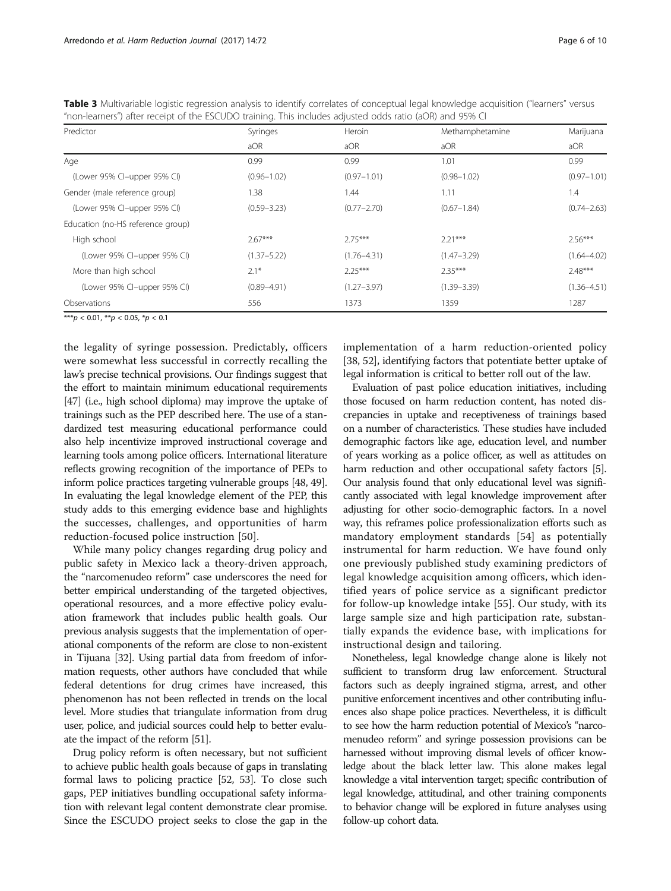| "non-learners") after receipt of the ESCUDO training. This includes adjusted odds ratio (aOR) and 95% CI |                 |                 |                 |                  |  |  |
|----------------------------------------------------------------------------------------------------------|-----------------|-----------------|-----------------|------------------|--|--|
| Predictor                                                                                                | Syringes        | Heroin          | Methamphetamine | Marijuana<br>aOR |  |  |
|                                                                                                          | aOR             | aOR             | aOR             |                  |  |  |
| Age                                                                                                      | 0.99            | 0.99            | 1.01            | 0.99             |  |  |
| (Lower 95% CI-upper 95% CI)                                                                              | $(0.96 - 1.02)$ | $(0.97 - 1.01)$ | $(0.98 - 1.02)$ | $(0.97 - 1.01)$  |  |  |
| Gender (male reference group)                                                                            | 1.38            | 1.44            | 1.11            | 1.4              |  |  |
| (Lower 95% CI-upper 95% CI)                                                                              | $(0.59 - 3.23)$ | $(0.77 - 2.70)$ | $(0.67 - 1.84)$ | $(0.74 - 2.63)$  |  |  |
| Education (no-HS reference group)                                                                        |                 |                 |                 |                  |  |  |
| High school                                                                                              | $2.67***$       | $2.75***$       | $2.21***$       | $2.56***$        |  |  |
| (Lower 95% CI-upper 95% CI)                                                                              | $(1.37 - 5.22)$ | $(1.76 - 4.31)$ | $(1.47 - 3.29)$ | $(1.64 - 4.02)$  |  |  |
| More than high school                                                                                    | $2.1*$          | $2.25***$       | $2.35***$       | $2.48***$        |  |  |
| (Lower 95% CI-upper 95% CI)                                                                              | $(0.89 - 4.91)$ | $(1.27 - 3.97)$ | $(1.39 - 3.39)$ | $(1.36 - 4.51)$  |  |  |
| Observations                                                                                             | 556             | 1373            | 1359            | 1287             |  |  |

<span id="page-5-0"></span>Table 3 Multivariable logistic regression analysis to identify correlates of conceptual legal knowledge acquisition ("learners" versus "non-learners") after receipt of the ESCUDO training. This includes adjusted odds ratio (aOR) and 95% CI

\*\*\*p < 0.01, \*\*p < 0.05, \*p < 0.1

the legality of syringe possession. Predictably, officers were somewhat less successful in correctly recalling the law's precise technical provisions. Our findings suggest that the effort to maintain minimum educational requirements [[47](#page-8-0)] (i.e., high school diploma) may improve the uptake of trainings such as the PEP described here. The use of a standardized test measuring educational performance could also help incentivize improved instructional coverage and learning tools among police officers. International literature reflects growing recognition of the importance of PEPs to inform police practices targeting vulnerable groups [\[48](#page-8-0), [49](#page-8-0)]. In evaluating the legal knowledge element of the PEP, this study adds to this emerging evidence base and highlights the successes, challenges, and opportunities of harm reduction-focused police instruction [[50\]](#page-8-0).

While many policy changes regarding drug policy and public safety in Mexico lack a theory-driven approach, the "narcomenudeo reform" case underscores the need for better empirical understanding of the targeted objectives, operational resources, and a more effective policy evaluation framework that includes public health goals. Our previous analysis suggests that the implementation of operational components of the reform are close to non-existent in Tijuana [[32](#page-8-0)]. Using partial data from freedom of information requests, other authors have concluded that while federal detentions for drug crimes have increased, this phenomenon has not been reflected in trends on the local level. More studies that triangulate information from drug user, police, and judicial sources could help to better evaluate the impact of the reform [\[51](#page-9-0)].

Drug policy reform is often necessary, but not sufficient to achieve public health goals because of gaps in translating formal laws to policing practice [\[52, 53](#page-9-0)]. To close such gaps, PEP initiatives bundling occupational safety information with relevant legal content demonstrate clear promise. Since the ESCUDO project seeks to close the gap in the

implementation of a harm reduction-oriented policy [[38](#page-8-0), [52\]](#page-9-0), identifying factors that potentiate better uptake of legal information is critical to better roll out of the law.

Evaluation of past police education initiatives, including those focused on harm reduction content, has noted discrepancies in uptake and receptiveness of trainings based on a number of characteristics. These studies have included demographic factors like age, education level, and number of years working as a police officer, as well as attitudes on harm reduction and other occupational safety factors [[5](#page-8-0)]. Our analysis found that only educational level was significantly associated with legal knowledge improvement after adjusting for other socio-demographic factors. In a novel way, this reframes police professionalization efforts such as mandatory employment standards [[54\]](#page-9-0) as potentially instrumental for harm reduction. We have found only one previously published study examining predictors of legal knowledge acquisition among officers, which identified years of police service as a significant predictor for follow-up knowledge intake [[55\]](#page-9-0). Our study, with its large sample size and high participation rate, substantially expands the evidence base, with implications for instructional design and tailoring.

Nonetheless, legal knowledge change alone is likely not sufficient to transform drug law enforcement. Structural factors such as deeply ingrained stigma, arrest, and other punitive enforcement incentives and other contributing influences also shape police practices. Nevertheless, it is difficult to see how the harm reduction potential of Mexico's "narcomenudeo reform" and syringe possession provisions can be harnessed without improving dismal levels of officer knowledge about the black letter law. This alone makes legal knowledge a vital intervention target; specific contribution of legal knowledge, attitudinal, and other training components to behavior change will be explored in future analyses using follow-up cohort data.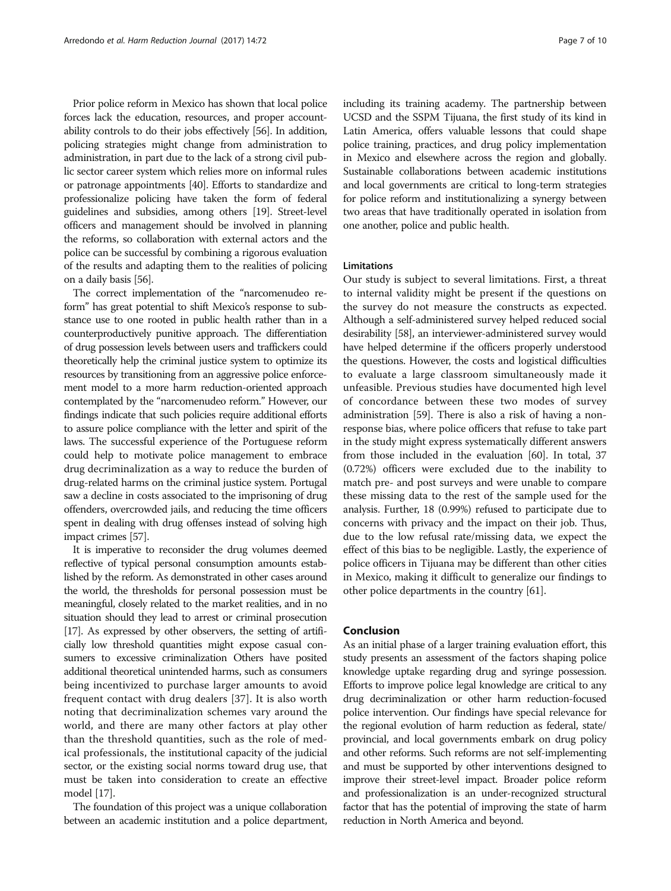Prior police reform in Mexico has shown that local police forces lack the education, resources, and proper accountability controls to do their jobs effectively [\[56\]](#page-9-0). In addition, policing strategies might change from administration to administration, in part due to the lack of a strong civil public sector career system which relies more on informal rules or patronage appointments [\[40](#page-8-0)]. Efforts to standardize and professionalize policing have taken the form of federal guidelines and subsidies, among others [\[19\]](#page-8-0). Street-level officers and management should be involved in planning the reforms, so collaboration with external actors and the police can be successful by combining a rigorous evaluation of the results and adapting them to the realities of policing on a daily basis [\[56](#page-9-0)].

The correct implementation of the "narcomenudeo reform" has great potential to shift Mexico's response to substance use to one rooted in public health rather than in a counterproductively punitive approach. The differentiation of drug possession levels between users and traffickers could theoretically help the criminal justice system to optimize its resources by transitioning from an aggressive police enforcement model to a more harm reduction-oriented approach contemplated by the "narcomenudeo reform." However, our findings indicate that such policies require additional efforts to assure police compliance with the letter and spirit of the laws. The successful experience of the Portuguese reform could help to motivate police management to embrace drug decriminalization as a way to reduce the burden of drug-related harms on the criminal justice system. Portugal saw a decline in costs associated to the imprisoning of drug offenders, overcrowded jails, and reducing the time officers spent in dealing with drug offenses instead of solving high impact crimes [\[57](#page-9-0)].

It is imperative to reconsider the drug volumes deemed reflective of typical personal consumption amounts established by the reform. As demonstrated in other cases around the world, the thresholds for personal possession must be meaningful, closely related to the market realities, and in no situation should they lead to arrest or criminal prosecution [[17\]](#page-8-0). As expressed by other observers, the setting of artificially low threshold quantities might expose casual consumers to excessive criminalization Others have posited additional theoretical unintended harms, such as consumers being incentivized to purchase larger amounts to avoid frequent contact with drug dealers [\[37](#page-8-0)]. It is also worth noting that decriminalization schemes vary around the world, and there are many other factors at play other than the threshold quantities, such as the role of medical professionals, the institutional capacity of the judicial sector, or the existing social norms toward drug use, that must be taken into consideration to create an effective model [\[17](#page-8-0)].

The foundation of this project was a unique collaboration between an academic institution and a police department,

including its training academy. The partnership between UCSD and the SSPM Tijuana, the first study of its kind in Latin America, offers valuable lessons that could shape police training, practices, and drug policy implementation in Mexico and elsewhere across the region and globally. Sustainable collaborations between academic institutions and local governments are critical to long-term strategies for police reform and institutionalizing a synergy between two areas that have traditionally operated in isolation from one another, police and public health.

#### **Limitations**

Our study is subject to several limitations. First, a threat to internal validity might be present if the questions on the survey do not measure the constructs as expected. Although a self-administered survey helped reduced social desirability [\[58](#page-9-0)], an interviewer-administered survey would have helped determine if the officers properly understood the questions. However, the costs and logistical difficulties to evaluate a large classroom simultaneously made it unfeasible. Previous studies have documented high level of concordance between these two modes of survey administration [[59](#page-9-0)]. There is also a risk of having a nonresponse bias, where police officers that refuse to take part in the study might express systematically different answers from those included in the evaluation [[60](#page-9-0)]. In total, 37 (0.72%) officers were excluded due to the inability to match pre- and post surveys and were unable to compare these missing data to the rest of the sample used for the analysis. Further, 18 (0.99%) refused to participate due to concerns with privacy and the impact on their job. Thus, due to the low refusal rate/missing data, we expect the effect of this bias to be negligible. Lastly, the experience of police officers in Tijuana may be different than other cities in Mexico, making it difficult to generalize our findings to other police departments in the country [\[61\]](#page-9-0).

#### Conclusion

As an initial phase of a larger training evaluation effort, this study presents an assessment of the factors shaping police knowledge uptake regarding drug and syringe possession. Efforts to improve police legal knowledge are critical to any drug decriminalization or other harm reduction-focused police intervention. Our findings have special relevance for the regional evolution of harm reduction as federal, state/ provincial, and local governments embark on drug policy and other reforms. Such reforms are not self-implementing and must be supported by other interventions designed to improve their street-level impact. Broader police reform and professionalization is an under-recognized structural factor that has the potential of improving the state of harm reduction in North America and beyond.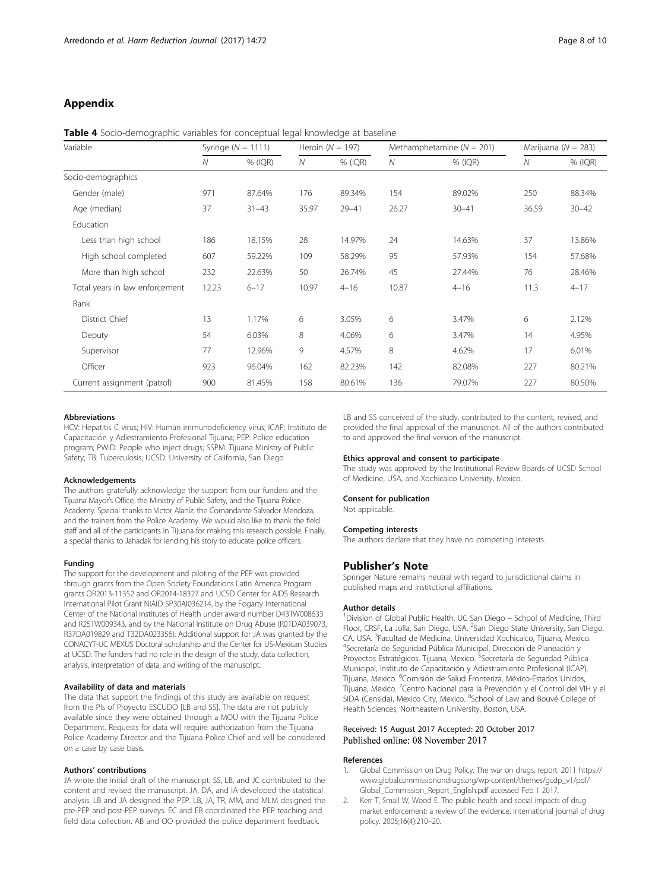## <span id="page-7-0"></span>Appendix

Table 4 Socio-demographic variables for conceptual legal knowledge at baseline

| Variable                       | Syringe $(N = 1111)$ |           | Heroin $(N = 197)$ |           | Methamphetamine ( $N = 201$ ) |           | Marijuana ( $N = 283$ ) |           |
|--------------------------------|----------------------|-----------|--------------------|-----------|-------------------------------|-----------|-------------------------|-----------|
|                                | N                    | % (IQR)   | N                  | % (IQR)   | N                             | % (IQR)   | N                       | % (IQR)   |
| Socio-demographics             |                      |           |                    |           |                               |           |                         |           |
| Gender (male)                  | 971                  | 87.64%    | 176                | 89.34%    | 154                           | 89.02%    | 250                     | 88.34%    |
| Age (median)                   | 37                   | $31 - 43$ | 35.97              | $29 - 41$ | 26.27                         | $30 - 41$ | 36.59                   | $30 - 42$ |
| <b>Education</b>               |                      |           |                    |           |                               |           |                         |           |
| Less than high school          | 186                  | 18.15%    | 28                 | 14.97%    | 24                            | 14.63%    | 37                      | 13.86%    |
| High school completed          | 607                  | 59.22%    | 109                | 58.29%    | 95                            | 57.93%    | 154                     | 57.68%    |
| More than high school          | 232                  | 22.63%    | 50                 | 26.74%    | 45                            | 27.44%    | 76                      | 28.46%    |
| Total years in law enforcement | 12.23                | $6 - 17$  | 10.97              | $4 - 16$  | 10.87                         | $4 - 16$  | 11.3                    | $4 - 17$  |
| Rank                           |                      |           |                    |           |                               |           |                         |           |
| <b>District Chief</b>          | 13                   | 1.17%     | 6                  | 3.05%     | 6                             | 3.47%     | 6                       | 2.12%     |
| Deputy                         | 54                   | 6.03%     | 8                  | 4.06%     | 6                             | 3.47%     | 14                      | 4.95%     |
| Supervisor                     | 77                   | 12.96%    | 9                  | 4.57%     | 8                             | 4.62%     | 17                      | 6.01%     |
| Officer                        | 923                  | 96.04%    | 162                | 82.23%    | 142                           | 82.08%    | 227                     | 80.21%    |
| Current assignment (patrol)    | 900                  | 81.45%    | 158                | 80.61%    | 136                           | 79.07%    | 227                     | 80.50%    |

#### Abbreviations

HCV: Hepatitis C virus; HIV: Human immunodeficiency virus; ICAP: Instituto de Capacitación y Adiestramiento Profesional Tijuana; PEP: Police education program; PWID: People who inject drugs; SSPM: Tijuana Ministry of Public Safety; TB: Tuberculosis; UCSD: University of California, San Diego

#### Acknowledgements

The authors gratefully acknowledge the support from our funders and the Tijuana Mayor's Office, the Ministry of Public Safety, and the Tijuana Police Academy. Special thanks to Victor Alaníz, the Comandante Salvador Mendoza, and the trainers from the Police Academy. We would also like to thank the field staff and all of the participants in Tijuana for making this research possible. Finally, a special thanks to Jahadak for lending his story to educate police officers.

#### Funding

The support for the development and piloting of the PEP was provided through grants from the Open Society Foundations Latin America Program grants OR2013-11352 and OR2014-18327 and UCSD Center for AIDS Research International Pilot Grant NIAID 5P30AI036214, by the Fogarty International Center of the National Institutes of Health under award number D43TW008633 and R25TW009343, and by the National Institute on Drug Abuse (R01DA039073, R37DA019829 and T32DA023356). Additional support for JA was granted by the CONACYT-UC MEXUS Doctoral scholarship and the Center for US-Mexican Studies at UCSD. The funders had no role in the design of the study, data collection, analysis, interpretation of data, and writing of the manuscript.

#### Availability of data and materials

The data that support the findings of this study are available on request from the PIs of Proyecto ESCUDO [LB and SS]. The data are not publicly available since they were obtained through a MOU with the Tijuana Police Department. Requests for data will require authorization from the Tijuana Police Academy Director and the Tijuana Police Chief and will be considered on a case by case basis.

#### Authors' contributions

JA wrote the initial draft of the manuscript. SS, LB, and JC contributed to the content and revised the manuscript. JA, DA, and IA developed the statistical analysis. LB and JA designed the PEP. LB, JA, TR, MM, and MLM designed the pre-PEP and post-PEP surveys. EC and EB coordinated the PEP teaching and field data collection. AB and OO provided the police department feedback.

LB and SS conceived of the study, contributed to the content, revised, and provided the final approval of the manuscript. All of the authors contributed to and approved the final version of the manuscript.

## Ethics approval and consent to participate

The study was approved by the Institutional Review Boards of UCSD School of Medicine, USA, and Xochicalco University, Mexico.

#### Consent for publication

Not applicable.

#### Competing interests

The authors declare that they have no competing interests.

#### Publisher's Note

Springer Nature remains neutral with regard to jurisdictional claims in published maps and institutional affiliations.

#### Author details

<sup>1</sup> Division of Global Public Health, UC San Diego - School of Medicine, Third Floor, CRSF, La Jolla, San Diego, USA. <sup>2</sup>San Diego State University, San Diego CA, USA. <sup>3</sup> Facultad de Medicina, Universidad Xochicalco, Tijuana, Mexico.<br><sup>4</sup> Secretaria de Sequridad Pública Municipal Dirección de Planeación v Secretaría de Seguridad Pública Municipal, Dirección de Planeación y Proyectos Estratégicos, Tijuana, Mexico. <sup>5</sup>Secretaría de Seguridad Pública Municipal, Instituto de Capacitación y Adiestramiento Profesional (ICAP), Tijuana, Mexico. <sup>6</sup>Comisión de Salud Fronteriza, México-Estados Unidos Tijuana, Mexico. <sup>7</sup>Centro Nacional para la Prevención y el Control del VIH y el SIDA (Censida), Mexico City, Mexico. <sup>8</sup>School of Law and Bouvé College of Health Sciences, Northeastern University, Boston, USA.

# Received: 15 August 2017 Accepted: 20 October 2017<br>Published online: 08 November 2017

#### References

- 1. Global Commission on Drug Policy. The war on drugs, report. 2011 [https://](https://www.globalcommissionondrugs.org/wp-content/themes/gcdp_v1/pdf/Global_Commission_Report_English.pdf) [www.globalcommissionondrugs.org/wp-content/themes/gcdp\\_v1/pdf/](https://www.globalcommissionondrugs.org/wp-content/themes/gcdp_v1/pdf/Global_Commission_Report_English.pdf) [Global\\_Commission\\_Report\\_English.pdf](https://www.globalcommissionondrugs.org/wp-content/themes/gcdp_v1/pdf/Global_Commission_Report_English.pdf) accessed Feb 1 2017.
- Kerr T, Small W, Wood E. The public health and social impacts of drug market enforcement: a review of the evidence. International journal of drug policy. 2005;16(4):210–20.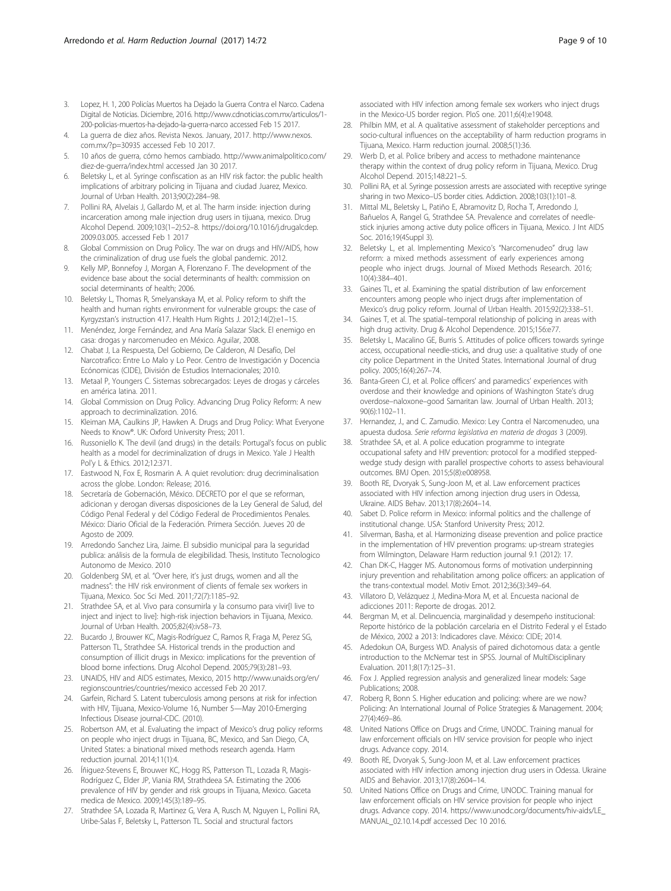- <span id="page-8-0"></span>3. Lopez, H. 1, 200 Policías Muertos ha Dejado la Guerra Contra el Narco. Cadena Digital de Noticias. Diciembre, 2016. [http://www.cdnoticias.com.mx/articulos/1-](http://www.cdnoticias.com.mx/articulos/1-200-policias-muertos-ha-dejado-la-guerra-narco) [200-policias-muertos-ha-dejado-la-guerra-narco](http://www.cdnoticias.com.mx/articulos/1-200-policias-muertos-ha-dejado-la-guerra-narco) accessed Feb 15 2017.
- La guerra de diez años. Revista Nexos. January, 2017. [http://www.nexos.](http://www.nexos.com.mx/?p=30935) [com.mx/?p=30935](http://www.nexos.com.mx/?p=30935) accessed Feb 10 2017.
- 5. 10 años de guerra, cómo hemos cambiado. [http://www.animalpolitico.com/](http://www.animalpolitico.com/diez-de-guerra/index.html) [diez-de-guerra/index.html](http://www.animalpolitico.com/diez-de-guerra/index.html) accessed Jan 30 2017.
- 6. Beletsky L, et al. Syringe confiscation as an HIV risk factor: the public health implications of arbitrary policing in Tijuana and ciudad Juarez, Mexico. Journal of Urban Health. 2013;90(2):284–98.
- Pollini RA, Alvelais J, Gallardo M, et al. The harm inside: injection during incarceration among male injection drug users in tijuana, mexico. Drug Alcohol Depend. 2009;103(1–2):52–8. [https://doi.org/10.1016/j.drugalcdep.](http://dx.doi.org/10.1016/j.drugalcdep.2009.03.005) [2009.03.005.](http://dx.doi.org/10.1016/j.drugalcdep.2009.03.005) accessed Feb 1 2017
- 8. Global Commission on Drug Policy. The war on drugs and HIV/AIDS, how the criminalization of drug use fuels the global pandemic. 2012.
- 9. Kelly MP, Bonnefoy J, Morgan A, Florenzano F. The development of the evidence base about the social determinants of health: commission on social determinants of health; 2006.
- 10. Beletsky L, Thomas R, Smelyanskaya M, et al. Policy reform to shift the health and human rights environment for vulnerable groups: the case of Kyrgyzstan's instruction 417. Health Hum Rights J. 2012;14(2):e1–15.
- 11. Menéndez, Jorge Fernández, and Ana María Salazar Slack. El enemigo en casa: drogas y narcomenudeo en México. Aguilar, 2008.
- 12. Chabat J, La Respuesta, Del Gobierno, De Calderon, Al Desafío, Del Narcotrafico: Entre Lo Malo y Lo Peor. Centro de Investigación y Docencia Ecónomicas (CIDE), División de Estudios Internacionales; 2010.
- 13. Metaal P, Youngers C. Sistemas sobrecargados: Leyes de drogas y cárceles en américa latina. 2011.
- 14. Global Commission on Drug Policy. Advancing Drug Policy Reform: A new approach to decriminalization. 2016.
- 15. Kleiman MA, Caulkins JP, Hawken A. Drugs and Drug Policy: What Everyone Needs to Know®. UK: Oxford University Press; 2011.
- 16. Russoniello K. The devil (and drugs) in the details: Portugal's focus on public health as a model for decriminalization of drugs in Mexico. Yale J Health Pol'y L & Ethics. 2012;12:371.
- 17. Eastwood N, Fox E, Rosmarin A. A quiet revolution: drug decriminalisation across the globe. London: Release; 2016.
- 18. Secretaría de Gobernación, México. DECRETO por el que se reforman, adicionan y derogan diversas disposiciones de la Ley General de Salud, del Código Penal Federal y del Código Federal de Procedimientos Penales. México: Diario Oficial de la Federación. Primera Sección. Jueves 20 de Agosto de 2009.
- 19. Arredondo Sanchez Lira, Jaime. El subsidio municipal para la seguridad publica: análisis de la formula de elegibilidad. Thesis, Instituto Tecnologico Autonomo de Mexico. 2010
- 20. Goldenberg SM, et al. "Over here, it's just drugs, women and all the madness": the HIV risk environment of clients of female sex workers in Tijuana, Mexico. Soc Sci Med. 2011;72(7):1185–92.
- 21. Strathdee SA, et al. Vivo para consumirla y la consumo para vivir<sup>[]</sup> live to inject and inject to live]: high-risk injection behaviors in Tijuana, Mexico. Journal of Urban Health. 2005;82(4):iv58–73.
- 22. Bucardo J, Brouwer KC, Magis-Rodríguez C, Ramos R, Fraga M, Perez SG, Patterson TL, Strathdee SA. Historical trends in the production and consumption of illicit drugs in Mexico: implications for the prevention of blood borne infections. Drug Alcohol Depend. 2005;79(3):281–93.
- 23. UNAIDS, HIV and AIDS estimates, Mexico, 2015 [http://www.unaids.org/en/](http://www.unaids.org/en/regionscountries/countries/mexico) [regionscountries/countries/mexico](http://www.unaids.org/en/regionscountries/countries/mexico) accessed Feb 20 2017.
- 24. Garfein, Richard S. Latent tuberculosis among persons at risk for infection with HIV, Tijuana, Mexico-Volume 16, Number 5—May 2010-Emerging Infectious Disease journal-CDC. (2010).
- 25. Robertson AM, et al. Evaluating the impact of Mexico's drug policy reforms on people who inject drugs in Tijuana, BC, Mexico, and San Diego, CA, United States: a binational mixed methods research agenda. Harm reduction journal. 2014;11(1):4.
- 26. Íñiguez-Stevens E, Brouwer KC, Hogg RS, Patterson TL, Lozada R, Magis-Rodríguez C, Elder JP, Viania RM, Strathdeea SA. Estimating the 2006 prevalence of HIV by gender and risk groups in Tijuana, Mexico. Gaceta medica de Mexico. 2009;145(3):189–95.
- 27. Strathdee SA, Lozada R, Martinez G, Vera A, Rusch M, Nguyen L, Pollini RA, Uribe-Salas F, Beletsky L, Patterson TL. Social and structural factors

associated with HIV infection among female sex workers who inject drugs in the Mexico-US border region. PloS one. 2011;6(4):e19048.

- 28. Philbin MM, et al. A qualitative assessment of stakeholder perceptions and socio-cultural influences on the acceptability of harm reduction programs in Tijuana, Mexico. Harm reduction journal. 2008;5(1):36.
- 29. Werb D, et al. Police bribery and access to methadone maintenance therapy within the context of drug policy reform in Tijuana, Mexico. Drug Alcohol Depend. 2015;148:221–5.
- 30. Pollini RA, et al. Syringe possession arrests are associated with receptive syringe sharing in two Mexico–US border cities. Addiction. 2008;103(1):101–8.
- 31. Mittal ML, Beletsky L, Patiño E, Abramovitz D, Rocha T, Arredondo J, Bañuelos A, Rangel G, Strathdee SA. Prevalence and correlates of needlestick injuries among active duty police officers in Tijuana, Mexico. J Int AIDS Soc. 2016;19(4Suppl 3).
- 32. Beletsky L, et al. Implementing Mexico's "Narcomenudeo" drug law reform: a mixed methods assessment of early experiences among people who inject drugs. Journal of Mixed Methods Research. 2016; 10(4):384–401.
- 33. Gaines TL, et al. Examining the spatial distribution of law enforcement encounters among people who inject drugs after implementation of Mexico's drug policy reform. Journal of Urban Health. 2015;92(2):338–51.
- 34. Gaines T, et al. The spatial–temporal relationship of policing in areas with high drug activity. Drug & Alcohol Dependence. 2015;156:e77.
- 35. Beletsky L, Macalino GE, Burris S. Attitudes of police officers towards syringe access, occupational needle-sticks, and drug use: a qualitative study of one city police Department in the United States. International Journal of drug policy. 2005;16(4):267–74.
- 36. Banta-Green CJ, et al. Police officers' and paramedics' experiences with overdose and their knowledge and opinions of Washington State's drug overdose–naloxone–good Samaritan law. Journal of Urban Health. 2013; 90(6):1102–11.
- 37. Hernandez, J., and C. Zamudio. Mexico: Ley Contra el Narcomenudeo, una apuesta dudosa. Serie reforma legislativa en materia de drogas 3 (2009).
- 38. Strathdee SA, et al. A police education programme to integrate occupational safety and HIV prevention: protocol for a modified steppedwedge study design with parallel prospective cohorts to assess behavioural outcomes. BMJ Open. 2015;5(8):e008958.
- 39. Booth RE, Dvoryak S, Sung-Joon M, et al. Law enforcement practices associated with HIV infection among injection drug users in Odessa, Ukraine. AIDS Behav. 2013;17(8):2604–14.
- 40. Sabet D. Police reform in Mexico: informal politics and the challenge of institutional change. USA: Stanford University Press; 2012.
- 41. Silverman, Basha, et al. Harmonizing disease prevention and police practice in the implementation of HIV prevention programs: up-stream strategies from Wilmington, Delaware Harm reduction journal 9.1 (2012): 17.
- 42. Chan DK-C, Hagger MS. Autonomous forms of motivation underpinning injury prevention and rehabilitation among police officers: an application of the trans-contextual model. Motiv Emot. 2012;36(3):349–64.
- 43. Villatoro D, Velázquez J, Medina-Mora M, et al. Encuesta nacional de adicciones 2011: Reporte de drogas. 2012.
- 44. Bergman M, et al. Delincuencia, marginalidad y desempeño institucional: Reporte histórico de la población carcelaria en el Distrito Federal y el Estado de México, 2002 a 2013: Indicadores clave. México: CIDE; 2014.
- 45. Adedokun OA, Burgess WD. Analysis of paired dichotomous data: a gentle introduction to the McNemar test in SPSS. Journal of MultiDisciplinary Evaluation. 2011;8(17):125–31.
- 46. Fox J. Applied regression analysis and generalized linear models: Sage Publications; 2008.
- 47. Roberg R, Bonn S. Higher education and policing: where are we now? Policing: An International Journal of Police Strategies & Management. 2004; 27(4):469–86.
- 48. United Nations Office on Drugs and Crime, UNODC. Training manual for law enforcement officials on HIV service provision for people who inject drugs. Advance copy. 2014.
- 49. Booth RE, Dvoryak S, Sung-Joon M, et al. Law enforcement practices associated with HIV infection among injection drug users in Odessa. Ukraine AIDS and Behavior. 2013;17(8):2604–14.
- 50. United Nations Office on Drugs and Crime, UNODC. Training manual for law enforcement officials on HIV service provision for people who inject drugs. Advance copy. 2014. [https://www.unodc.org/documents/hiv-aids/LE\\_](https://www.unodc.org/documents/hiv-aids/LE_MANUAL_02.10.14.pdf) [MANUAL\\_02.10.14.pdf](https://www.unodc.org/documents/hiv-aids/LE_MANUAL_02.10.14.pdf) accessed Dec 10 2016.